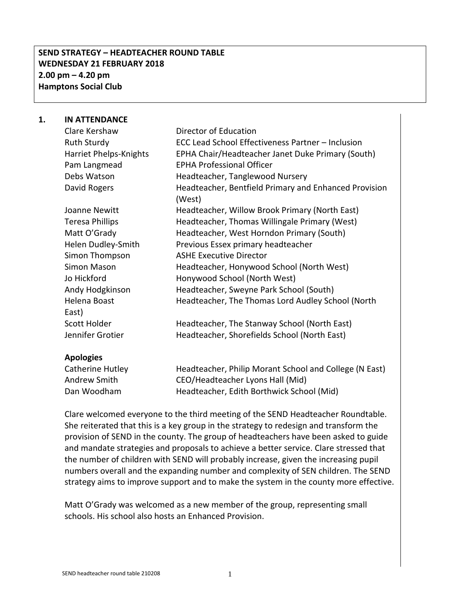# **SEND STRATEGY – HEADTEACHER ROUND TABLE WEDNESDAY 21 FEBRUARY 2018 2.00 pm – 4.20 pm Hamptons Social Club**

#### **1. IN ATTENDANCE**

| Clare Kershaw          | Director of Education                                           |
|------------------------|-----------------------------------------------------------------|
| <b>Ruth Sturdy</b>     | ECC Lead School Effectiveness Partner – Inclusion               |
| Harriet Phelps-Knights | EPHA Chair/Headteacher Janet Duke Primary (South)               |
| Pam Langmead           | <b>EPHA Professional Officer</b>                                |
| Debs Watson            | Headteacher, Tanglewood Nursery                                 |
| David Rogers           | Headteacher, Bentfield Primary and Enhanced Provision<br>(West) |
| Joanne Newitt          | Headteacher, Willow Brook Primary (North East)                  |
| <b>Teresa Phillips</b> | Headteacher, Thomas Willingale Primary (West)                   |
| Matt O'Grady           | Headteacher, West Horndon Primary (South)                       |
| Helen Dudley-Smith     | Previous Essex primary headteacher                              |
| Simon Thompson         | <b>ASHE Executive Director</b>                                  |
| Simon Mason            | Headteacher, Honywood School (North West)                       |
| Jo Hickford            | Honywood School (North West)                                    |
| Andy Hodgkinson        | Headteacher, Sweyne Park School (South)                         |
| Helena Boast           | Headteacher, The Thomas Lord Audley School (North               |
| East)                  |                                                                 |
| Scott Holder           | Headteacher, The Stanway School (North East)                    |
| Jennifer Grotier       | Headteacher, Shorefields School (North East)                    |
|                        |                                                                 |

#### **Apologies**

| Catherine Hutley | Headteacher, Philip Morant School and College (N East) |
|------------------|--------------------------------------------------------|
| Andrew Smith     | CEO/Headteacher Lyons Hall (Mid)                       |
| Dan Woodham      | Headteacher, Edith Borthwick School (Mid)              |

Clare welcomed everyone to the third meeting of the SEND Headteacher Roundtable. She reiterated that this is a key group in the strategy to redesign and transform the provision of SEND in the county. The group of headteachers have been asked to guide and mandate strategies and proposals to achieve a better service. Clare stressed that the number of children with SEND will probably increase, given the increasing pupil numbers overall and the expanding number and complexity of SEN children. The SEND strategy aims to improve support and to make the system in the county more effective.

Matt O'Grady was welcomed as a new member of the group, representing small schools. His school also hosts an Enhanced Provision.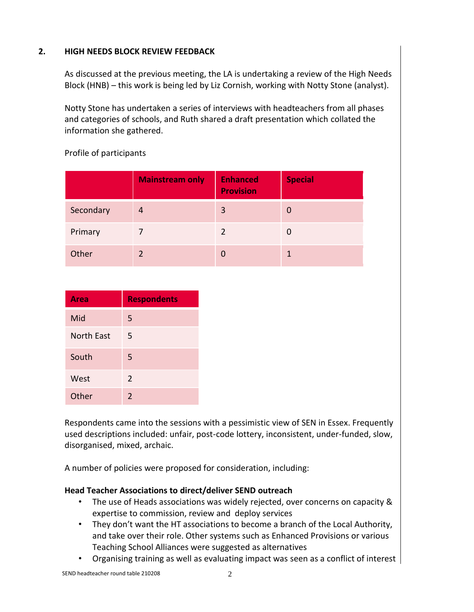## **2. HIGH NEEDS BLOCK REVIEW FEEDBACK**

As discussed at the previous meeting, the LA is undertaking a review of the High Needs Block (HNB) – this work is being led by Liz Cornish, working with Notty Stone (analyst).

Notty Stone has undertaken a series of interviews with headteachers from all phases and categories of schools, and Ruth shared a draft presentation which collated the information she gathered.

|           | <b>Mainstream only</b> | <b>Enhanced</b><br><b>Provision</b> | <b>Special</b> |
|-----------|------------------------|-------------------------------------|----------------|
| Secondary | 4                      | 3                                   | 0              |
| Primary   |                        |                                     |                |
| Other     |                        |                                     |                |

Profile of participants

| <b>Area</b>       | <b>Respondents</b> |
|-------------------|--------------------|
| Mid               | 5                  |
| <b>North East</b> | 5                  |
| South             | 5                  |
| West              | 2                  |
| Other             | $\mathcal{L}$      |

Respondents came into the sessions with a pessimistic view of SEN in Essex. Frequently used descriptions included: unfair, post-code lottery, inconsistent, under-funded, slow, disorganised, mixed, archaic.

A number of policies were proposed for consideration, including:

### **Head Teacher Associations to direct/deliver SEND outreach**

- The use of Heads associations was widely rejected, over concerns on capacity & expertise to commission, review and deploy services
- They don't want the HT associations to become a branch of the Local Authority, and take over their role. Other systems such as Enhanced Provisions or various Teaching School Alliances were suggested as alternatives
- Organising training as well as evaluating impact was seen as a conflict of interest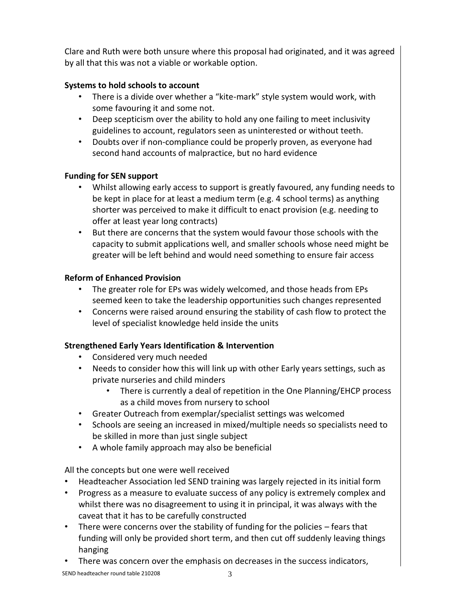Clare and Ruth were both unsure where this proposal had originated, and it was agreed by all that this was not a viable or workable option.

# **Systems to hold schools to account**

- There is a divide over whether a "kite-mark" style system would work, with some favouring it and some not.
- Deep scepticism over the ability to hold any one failing to meet inclusivity guidelines to account, regulators seen as uninterested or without teeth.
- Doubts over if non-compliance could be properly proven, as everyone had second hand accounts of malpractice, but no hard evidence

# **Funding for SEN support**

- Whilst allowing early access to support is greatly favoured, any funding needs to be kept in place for at least a medium term (e.g. 4 school terms) as anything shorter was perceived to make it difficult to enact provision (e.g. needing to offer at least year long contracts)
- But there are concerns that the system would favour those schools with the capacity to submit applications well, and smaller schools whose need might be greater will be left behind and would need something to ensure fair access

# **Reform of Enhanced Provision**

- The greater role for EPs was widely welcomed, and those heads from EPs seemed keen to take the leadership opportunities such changes represented
- Concerns were raised around ensuring the stability of cash flow to protect the level of specialist knowledge held inside the units

# **Strengthened Early Years Identification & Intervention**

- Considered very much needed
- Needs to consider how this will link up with other Early years settings, such as private nurseries and child minders
	- There is currently a deal of repetition in the One Planning/EHCP process as a child moves from nursery to school
- Greater Outreach from exemplar/specialist settings was welcomed
- Schools are seeing an increased in mixed/multiple needs so specialists need to be skilled in more than just single subject
- A whole family approach may also be beneficial

All the concepts but one were well received

- Headteacher Association led SEND training was largely rejected in its initial form
- Progress as a measure to evaluate success of any policy is extremely complex and whilst there was no disagreement to using it in principal, it was always with the caveat that it has to be carefully constructed
- There were concerns over the stability of funding for the policies fears that funding will only be provided short term, and then cut off suddenly leaving things hanging
- There was concern over the emphasis on decreases in the success indicators,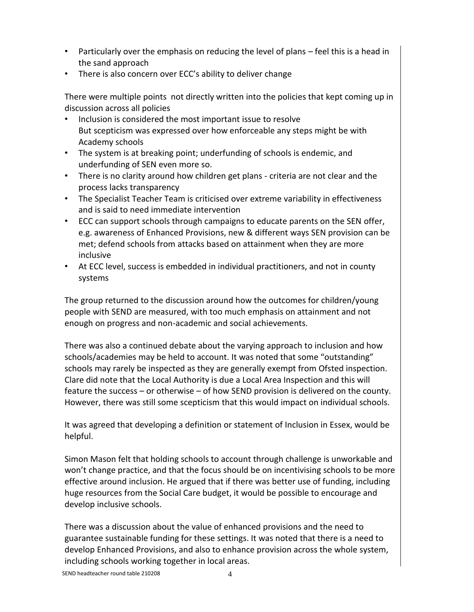- Particularly over the emphasis on reducing the level of plans feel this is a head in the sand approach
- There is also concern over ECC's ability to deliver change

There were multiple points not directly written into the policies that kept coming up in discussion across all policies

- Inclusion is considered the most important issue to resolve But scepticism was expressed over how enforceable any steps might be with Academy schools
- The system is at breaking point; underfunding of schools is endemic, and underfunding of SEN even more so.
- There is no clarity around how children get plans criteria are not clear and the process lacks transparency
- The Specialist Teacher Team is criticised over extreme variability in effectiveness and is said to need immediate intervention
- ECC can support schools through campaigns to educate parents on the SEN offer, e.g. awareness of Enhanced Provisions, new & different ways SEN provision can be met; defend schools from attacks based on attainment when they are more inclusive
- At ECC level, success is embedded in individual practitioners, and not in county systems

The group returned to the discussion around how the outcomes for children/young people with SEND are measured, with too much emphasis on attainment and not enough on progress and non-academic and social achievements.

There was also a continued debate about the varying approach to inclusion and how schools/academies may be held to account. It was noted that some "outstanding" schools may rarely be inspected as they are generally exempt from Ofsted inspection. Clare did note that the Local Authority is due a Local Area Inspection and this will feature the success – or otherwise – of how SEND provision is delivered on the county. However, there was still some scepticism that this would impact on individual schools.

It was agreed that developing a definition or statement of Inclusion in Essex, would be helpful.

Simon Mason felt that holding schools to account through challenge is unworkable and won't change practice, and that the focus should be on incentivising schools to be more effective around inclusion. He argued that if there was better use of funding, including huge resources from the Social Care budget, it would be possible to encourage and develop inclusive schools.

There was a discussion about the value of enhanced provisions and the need to guarantee sustainable funding for these settings. It was noted that there is a need to develop Enhanced Provisions, and also to enhance provision across the whole system, including schools working together in local areas.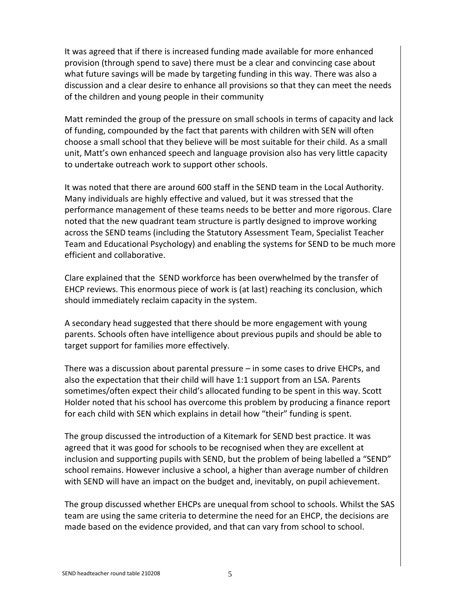It was agreed that if there is increased funding made available for more enhanced provision (through spend to save) there must be a clear and convincing case about what future savings will be made by targeting funding in this way. There was also a discussion and a clear desire to enhance all provisions so that they can meet the needs of the children and young people in their community

Matt reminded the group of the pressure on small schools in terms of capacity and lack of funding, compounded by the fact that parents with children with SEN will often choose a small school that they believe will be most suitable for their child. As a small unit, Matt's own enhanced speech and language provision also has very little capacity to undertake outreach work to support other schools.

It was noted that there are around 600 staff in the SEND team in the Local Authority. Many individuals are highly effective and valued, but it was stressed that the performance management of these teams needs to be better and more rigorous. Clare noted that the new quadrant team structure is partly designed to improve working across the SEND teams (including the Statutory Assessment Team, Specialist Teacher Team and Educational Psychology) and enabling the systems for SEND to be much more efficient and collaborative.

Clare explained that the SEND workforce has been overwhelmed by the transfer of EHCP reviews. This enormous piece of work is (at last) reaching its conclusion, which should immediately reclaim capacity in the system.

A secondary head suggested that there should be more engagement with young parents. Schools often have intelligence about previous pupils and should be able to target support for families more effectively.

There was a discussion about parental pressure – in some cases to drive EHCPs, and also the expectation that their child will have 1:1 support from an LSA. Parents sometimes/often expect their child's allocated funding to be spent in this way. Scott Holder noted that his school has overcome this problem by producing a finance report for each child with SEN which explains in detail how "their" funding is spent.

The group discussed the introduction of a Kitemark for SEND best practice. It was agreed that it was good for schools to be recognised when they are excellent at inclusion and supporting pupils with SEND, but the problem of being labelled a "SEND" school remains. However inclusive a school, a higher than average number of children with SEND will have an impact on the budget and, inevitably, on pupil achievement.

The group discussed whether EHCPs are unequal from school to schools. Whilst the SAS team are using the same criteria to determine the need for an EHCP, the decisions are made based on the evidence provided, and that can vary from school to school.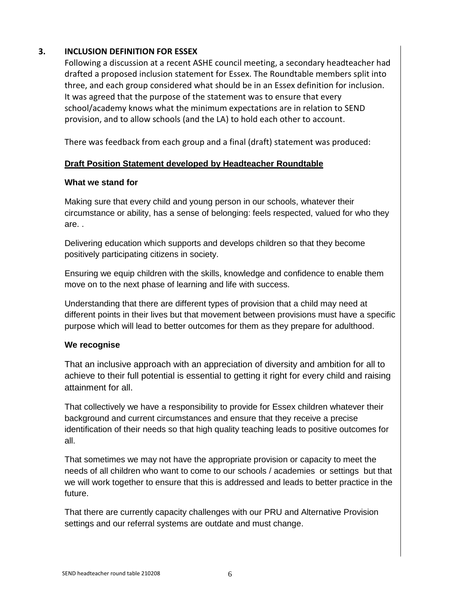### **3. INCLUSION DEFINITION FOR ESSEX**

Following a discussion at a recent ASHE council meeting, a secondary headteacher had drafted a proposed inclusion statement for Essex. The Roundtable members split into three, and each group considered what should be in an Essex definition for inclusion. It was agreed that the purpose of the statement was to ensure that every school/academy knows what the minimum expectations are in relation to SEND provision, and to allow schools (and the LA) to hold each other to account.

There was feedback from each group and a final (draft) statement was produced:

### **Draft Position Statement developed by Headteacher Roundtable**

#### **What we stand for**

Making sure that every child and young person in our schools, whatever their circumstance or ability, has a sense of belonging: feels respected, valued for who they are. .

Delivering education which supports and develops children so that they become positively participating citizens in society.

Ensuring we equip children with the skills, knowledge and confidence to enable them move on to the next phase of learning and life with success.

Understanding that there are different types of provision that a child may need at different points in their lives but that movement between provisions must have a specific purpose which will lead to better outcomes for them as they prepare for adulthood.

#### **We recognise**

That an inclusive approach with an appreciation of diversity and ambition for all to achieve to their full potential is essential to getting it right for every child and raising attainment for all.

That collectively we have a responsibility to provide for Essex children whatever their background and current circumstances and ensure that they receive a precise identification of their needs so that high quality teaching leads to positive outcomes for all.

That sometimes we may not have the appropriate provision or capacity to meet the needs of all children who want to come to our schools / academies or settings but that we will work together to ensure that this is addressed and leads to better practice in the future.

That there are currently capacity challenges with our PRU and Alternative Provision settings and our referral systems are outdate and must change.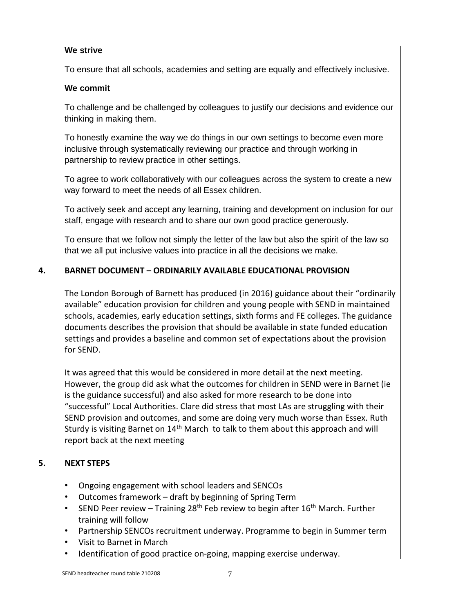#### **We strive**

To ensure that all schools, academies and setting are equally and effectively inclusive.

#### **We commit**

To challenge and be challenged by colleagues to justify our decisions and evidence our thinking in making them.

To honestly examine the way we do things in our own settings to become even more inclusive through systematically reviewing our practice and through working in partnership to review practice in other settings.

To agree to work collaboratively with our colleagues across the system to create a new way forward to meet the needs of all Essex children.

To actively seek and accept any learning, training and development on inclusion for our staff, engage with research and to share our own good practice generously.

To ensure that we follow not simply the letter of the law but also the spirit of the law so that we all put inclusive values into practice in all the decisions we make.

### **4. BARNET DOCUMENT – ORDINARILY AVAILABLE EDUCATIONAL PROVISION**

The London Borough of Barnett has produced (in 2016) guidance about their "ordinarily available" education provision for children and young people with SEND in maintained schools, academies, early education settings, sixth forms and FE colleges. The guidance documents describes the provision that should be available in state funded education settings and provides a baseline and common set of expectations about the provision for SEND.

It was agreed that this would be considered in more detail at the next meeting. However, the group did ask what the outcomes for children in SEND were in Barnet (ie is the guidance successful) and also asked for more research to be done into "successful" Local Authorities. Clare did stress that most LAs are struggling with their SEND provision and outcomes, and some are doing very much worse than Essex. Ruth Sturdy is visiting Barnet on 14<sup>th</sup> March to talk to them about this approach and will report back at the next meeting

### **5. NEXT STEPS**

- Ongoing engagement with school leaders and SENCOs
- Outcomes framework draft by beginning of Spring Term
- SEND Peer review Training 28<sup>th</sup> Feb review to begin after 16<sup>th</sup> March. Further training will follow
- Partnership SENCOs recruitment underway. Programme to begin in Summer term
- Visit to Barnet in March
- Identification of good practice on-going, mapping exercise underway.